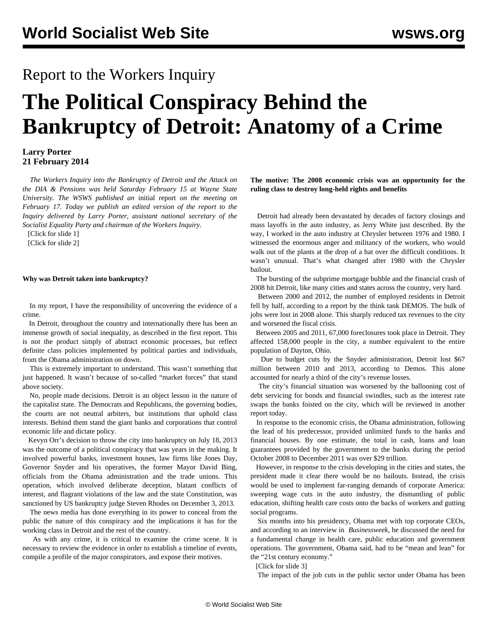# Report to the Workers Inquiry

# **The Political Conspiracy Behind the Bankruptcy of Detroit: Anatomy of a Crime**

## **Larry Porter 21 February 2014**

 *The Workers Inquiry into the Bankruptcy of Detroit and the Attack on the DIA & Pensions was held Saturday February 15 at Wayne State University. The WSWS published an* [initial report](/en/articles/2014/02/17/inqu-f17.html) *on the meeting on February 17. Today we publish an edited version of the report to the Inquiry delivered by Larry Porter, assistant national secretary of the Socialist Equality Party and chairman of the Workers Inquiry.*

[\[Click for slide 1](workspace://SpacesStore/52006cc6-ff68-41da-b833-83bd1bd83150)]

[\[Click for slide 2](workspace://SpacesStore/ce1cac78-5107-49f9-ab65-046b55f09d7c)]

#### **Why was Detroit taken into bankruptcy?**

 In my report, I have the responsibility of uncovering the evidence of a crime.

 In Detroit, throughout the country and internationally there has been an immense growth of social inequality, as described in the first report. This is not the product simply of abstract economic processes, but reflect definite class policies implemented by political parties and individuals, from the Obama administration on down.

 This is extremely important to understand. This wasn't something that just happened. It wasn't because of so-called "market forces" that stand above society.

 No, people made decisions. Detroit is an object lesson in the nature of the capitalist state. The Democrats and Republicans, the governing bodies, the courts are not neutral arbiters, but institutions that uphold class interests. Behind them stand the giant banks and corporations that control economic life and dictate policy.

 Kevyn Orr's decision to throw the city into bankruptcy on July 18, 2013 was the outcome of a political conspiracy that was years in the making. It involved powerful banks, investment houses, law firms like Jones Day, Governor Snyder and his operatives, the former Mayor David Bing, officials from the Obama administration and the trade unions. This operation, which involved deliberate deception, blatant conflicts of interest, and flagrant violations of the law and the state Constitution, was sanctioned by US bankruptcy judge Steven Rhodes on December 3, 2013.

 The news media has done everything in its power to conceal from the public the nature of this conspiracy and the implications it has for the working class in Detroit and the rest of the country.

 As with any crime, it is critical to examine the crime scene. It is necessary to review the evidence in order to establish a timeline of events, compile a profile of the major conspirators, and expose their motives.

**The motive: The 2008 economic crisis was an opportunity for the ruling class to destroy long-held rights and benefits**

 Detroit had already been devastated by decades of factory closings and mass layoffs in the auto industry, as Jerry White just described. By the way, I worked in the auto industry at Chrysler between 1976 and 1980. I witnessed the enormous anger and militancy of the workers, who would walk out of the plants at the drop of a hat over the difficult conditions. It wasn't unusual. That's what changed after 1980 with the Chrysler bailout.

 The bursting of the subprime mortgage bubble and the financial crash of 2008 hit Detroit, like many cities and states across the country, very hard.

 Between 2000 and 2012, the number of employed residents in Detroit fell by half, according to a report by the think tank DEMOS. The bulk of jobs were lost in 2008 alone. This sharply reduced tax revenues to the city and worsened the fiscal crisis.

 Between 2005 and 2011, 67,000 foreclosures took place in Detroit. They affected 158,000 people in the city, a number equivalent to the entire population of Dayton, Ohio.

 Due to budget cuts by the Snyder administration, Detroit lost \$67 million between 2010 and 2013, according to Demos. This alone accounted for nearly a third of the city's revenue losses.

 The city's financial situation was worsened by the ballooning cost of debt servicing for bonds and financial swindles, such as the interest rate swaps the banks foisted on the city, which will be reviewed in another report today.

 In response to the economic crisis, the Obama administration, following the lead of his predecessor, provided unlimited funds to the banks and financial houses. By one estimate, the total in cash, loans and loan guarantees provided by the government to the banks during the period October 2008 to December 2011 was over \$29 trillion.

 However, in response to the crisis developing in the cities and states, the president made it clear there would be no bailouts. Instead, the crisis would be used to implement far-ranging demands of corporate America: sweeping wage cuts in the auto industry, the dismantling of public education, shifting health care costs onto the backs of workers and gutting social programs.

 Six months into his presidency, Obama met with top corporate CEOs, and according to an interview in *[Businessweek](http://www.businessweek.com/magazine/content/09_32/b4142000676096.htm)*, he discussed the need for a fundamental change in health care, public education and government operations. The government, Obama said, had to be "mean and lean" for the "21st century economy."

[\[Click for slide 3](workspace://SpacesStore/428ccc01-f4d0-408b-ac8f-ccba8ba9db9f)]

The impact of the job cuts in the public sector under Obama has been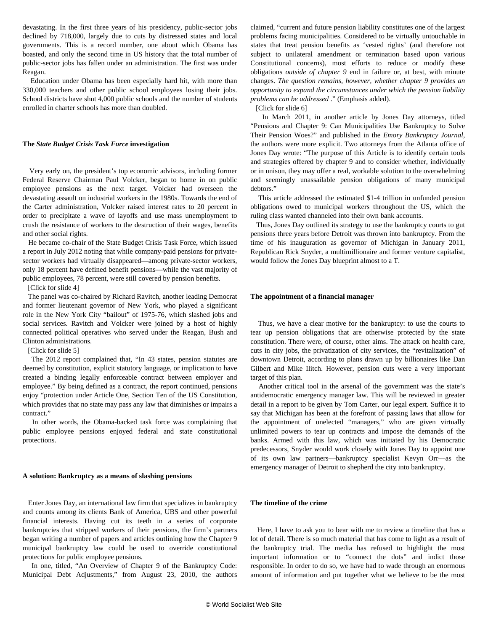devastating. In the first three years of his presidency, public-sector jobs declined by 718,000, largely due to cuts by distressed states and local governments. This is a record number, one about which Obama has boasted, and only the second time in US history that the total number of public-sector jobs has fallen under an administration. The first was under Reagan.

 Education under Obama has been especially hard hit, with more than 330,000 teachers and other public school employees losing their jobs. School districts have shut 4,000 public schools and the number of students enrolled in charter schools has more than doubled.

#### **The** *State Budget Crisis Task Force* **investigation**

 Very early on, the president's top economic advisors, including former Federal Reserve Chairman Paul Volcker, began to home in on public employee pensions as the next target. Volcker had overseen the devastating assault on industrial workers in the 1980s. Towards the end of the Carter administration, Volcker raised interest rates to 20 percent in order to precipitate a wave of layoffs and use mass unemployment to crush the resistance of workers to the destruction of their wages, benefits and other social rights.

 He became co-chair of the [State Budget Crisis Task Force](http://www.statebudgetcrisis.org/wpcms/), which issued a report in July 2012 noting that while company-paid pensions for privatesector workers had virtually disappeared—among private-sector workers, only 18 percent have defined benefit pensions—while the vast majority of public employees, 78 percent, were still covered by pension benefits.

[\[Click for slide 4](workspace://SpacesStore/59473f9b-88fe-4248-9fbd-f2a9da1dde91)]

 The panel was co-chaired by Richard Ravitch, another leading Democrat and former lieutenant governor of New York, who played a significant role in the New York City "bailout" of 1975-76, which slashed jobs and social services. Ravitch and Volcker were joined by a host of highly connected political operatives who served under the Reagan, Bush and Clinton administrations.

[\[Click for slide 5](workspace://SpacesStore/901f8507-4cd5-4429-acce-e499b4f6197c)]

 The 2012 report complained that, "In 43 states, pension statutes are deemed by constitution, explicit statutory language, or implication to have created a binding legally enforceable contract between employer and employee." By being defined as a contract, the report continued, pensions enjoy "protection under Article One, Section Ten of the US Constitution, which provides that no state may pass any law that diminishes or impairs a contract."

 In other words, the Obama-backed task force was complaining that public employee pensions enjoyed federal and state constitutional protections.

#### **A solution: Bankruptcy as a means of slashing pensions**

 Enter Jones Day, an international law firm that specializes in bankruptcy and counts among its clients Bank of America, UBS and other powerful financial interests. Having cut its teeth in a series of corporate bankruptcies that stripped workers of their pensions, the firm's partners began writing a number of papers and articles outlining how the Chapter 9 municipal bankruptcy law could be used to override constitutional protections for public employee pensions.

 In one, titled, ["An Overview of Chapter 9 of the Bankruptcy Code:](http://www.jonesday.com/an-overview-of-chapter-9-of-the-bankruptcy-code-municipal-debt-adjustments-08-15-2010/) [Municipal Debt Adjustments,](http://www.jonesday.com/an-overview-of-chapter-9-of-the-bankruptcy-code-municipal-debt-adjustments-08-15-2010/)" from August 23, 2010, the authors claimed, "current and future pension liability constitutes one of the largest problems facing municipalities. Considered to be virtually untouchable in states that treat pension benefits as 'vested rights' (and therefore not subject to unilateral amendment or termination based upon various Constitutional concerns), most efforts to reduce or modify these obligations *outside of chapter 9* end in failure or, at best, with minute changes. *The question remains, however, whether chapter 9 provides an opportunity to expand the circumstances under which the pension liability problems can be addressed* ." (Emphasis added).

[\[Click for slide 6](workspace://SpacesStore/ea267f90-3f87-42e2-ab5e-f70cda1233ab)]

 In March 2011, in another article by Jones Day attorneys, titled "Pensions and Chapter 9: Can Municipalities Use Bankruptcy to Solve Their Pension Woes?" and published in the *Emory Bankruptcy Journal*, the authors were more explicit. Two attorneys from the Atlanta office of Jones Day wrote: "The purpose of this Article is to identify certain tools and strategies offered by chapter 9 and to consider whether, individually or in unison, they may offer a real, workable solution to the overwhelming and seemingly unassailable pension obligations of many municipal debtors."

 This article addressed the estimated \$1-4 trillion in unfunded pension obligations owed to municipal workers throughout the US, which the ruling class wanted channeled into their own bank accounts.

 Thus, Jones Day outlined its strategy to use the bankruptcy courts to gut pensions three years before Detroit was thrown into bankruptcy. From the time of his inauguration as governor of Michigan in January 2011, Republican Rick Snyder, a multimillionaire and former venture capitalist, would follow the Jones Day blueprint almost to a T.

#### **The appointment of a financial manager**

 Thus, we have a clear motive for the bankruptcy: to use the courts to tear up pension obligations that are otherwise protected by the state constitution. There were, of course, other aims. The attack on health care, cuts in city jobs, the privatization of city services, the "revitalization" of downtown Detroit, according to plans drawn up by billionaires like Dan Gilbert and Mike Ilitch. However, pension cuts were a very important target of this plan.

 Another critical tool in the arsenal of the government was the state's antidemocratic emergency manager law. This will be reviewed in greater detail in a report to be given by Tom Carter, our legal expert. Suffice it to say that Michigan has been at the forefront of passing laws that allow for the appointment of unelected "managers," who are given virtually unlimited powers to tear up contracts and impose the demands of the banks. Armed with this law, which was initiated by his Democratic predecessors, Snyder would work closely with Jones Day to appoint one of its own law partners—bankruptcy specialist Kevyn Orr—as the emergency manager of Detroit to shepherd the city into bankruptcy.

#### **The timeline of the crime**

 Here, I have to ask you to bear with me to review a timeline that has a lot of detail. There is so much material that has come to light as a result of the bankruptcy trial. The media has refused to highlight the most important information or to "connect the dots" and indict those responsible. In order to do so, we have had to wade through an enormous amount of information and put together what we believe to be the most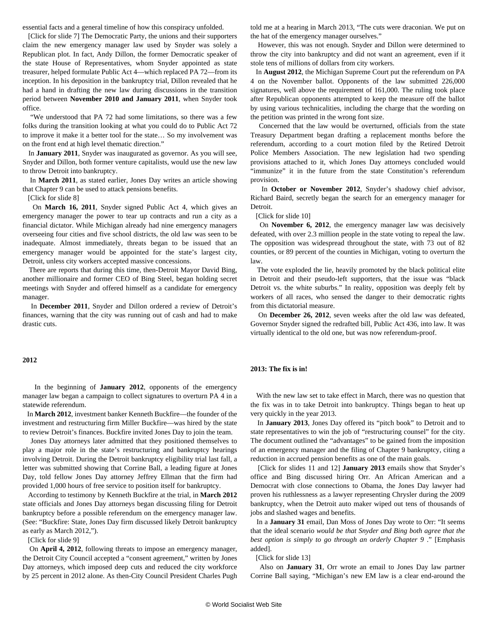essential facts and a general timeline of how this conspiracy unfolded.

[\[Click for slide 7\]](workspace://SpacesStore/0e50701f-3b5e-4766-9e04-acc9329c1326) The Democratic Party, the unions and their supporters claim the new emergency manager law used by Snyder was solely a Republican plot. In fact, Andy Dillon, the former Democratic speaker of the state House of Representatives, whom Snyder appointed as state treasurer, helped formulate Public Act 4—which replaced PA 72—from its inception. In his [deposition](http://www.detroitnews.com/article/20131011/SPECIAL01/131011003) in the bankruptcy trial, Dillon revealed that he had a hand in drafting the new law during discussions in the transition period between **November 2010 and January 2011**, when Snyder took office.

 "We understood that PA 72 had some limitations, so there was a few folks during the transition looking at what you could do to Public Act 72 to improve it make it a better tool for the state… So my involvement was on the front end at high level thematic direction."

 In **January 2011**, Snyder was inaugurated as governor. As you will see, Snyder and Dillon, both former venture capitalists, would use the new law to throw Detroit into bankruptcy.

 In **March 2011**, as stated earlier, Jones Day writes an article showing that Chapter 9 can be used to attack pensions benefits.

[\[Click for slide 8](workspace://SpacesStore/d17a2da2-e7bf-4fa6-a1ce-11131cdf085e)]

 On **March 16, 2011**, Snyder signed [Public Act 4](/en/articles/2011/05/bent-m02.html), which gives an emergency manager the power to tear up contracts and run a city as a financial dictator. While Michigan already had nine emergency managers overseeing four cities and five school districts, the old law was seen to be inadequate. Almost immediately, threats began to be issued that an emergency manager would be appointed for the state's largest city, Detroit, unless city workers accepted massive concessions.

 There are reports that during this time, then-Detroit Mayor David Bing, another millionaire and former CEO of Bing Steel, began holding secret meetings with Snyder and offered himself as a candidate for [emergency](http://www.mlive.com/news/detroit/index.ssf/2011/12/report_detroit_city_council_qu.html) [manager](http://www.mlive.com/news/detroit/index.ssf/2011/12/report_detroit_city_council_qu.html).

 In **December 2011**, Snyder and Dillon ordered a review of Detroit's finances, warning that the city was running out of cash and had to make drastic cuts.

### **2012**

 In the beginning of **January 2012**, opponents of the emergency manager law began a campaign to collect signatures to overturn PA 4 in a statewide referendum.

 In **March 2012**, investment banker Kenneth Buckfire—the founder of the investment and restructuring firm Miller Buckfire—was hired by the state to review Detroit's finances. Buckfire invited Jones Day to join the team.

 Jones Day attorneys later admitted that they positioned themselves to play a major role in the state's restructuring and bankruptcy hearings involving Detroit. During the Detroit bankruptcy eligibility trial last fall, a letter was submitted showing that Corrine Ball, a leading figure at Jones Day, told fellow Jones Day attorney Jeffrey Ellman that the firm had provided 1,000 hours of free service to position itself for bankruptcy.

 According to testimony by Kenneth Buckfire at the trial, in **March 2012** state officials and Jones Day attorneys began discussing filing for Detroit bankruptcy before a possible referendum on the emergency manager law. (See: ["Buckfire: State, Jones Day firm discussed likely Detroit bankruptcy](http://www.freep.com/article/20131025/NEWS01/310250032/detroit-bankruptcy-trial) [as early as March 2012,"](http://www.freep.com/article/20131025/NEWS01/310250032/detroit-bankruptcy-trial)).

[\[Click for slide 9](workspace://SpacesStore/f084ab06-5b1d-4492-ba28-fab2b6f25fdf)]

 On **April 4, 2012**, following threats to impose an emergency manager, the Detroit City Council accepted a "consent agreement," written by Jones Day attorneys, which imposed deep cuts and reduced the city workforce by 25 percent in 2012 alone. As then-City Council President Charles Pugh told me at a hearing in March 2013, "The cuts were draconian. We put on the hat of the emergency manager ourselves."

 However, this was not enough. Snyder and Dillon were determined to throw the city into bankruptcy and did not want an agreement, even if it stole tens of millions of dollars from city workers.

 In **August 2012**, the Michigan Supreme Court put the referendum on PA 4 on the November ballot. Opponents of the law submitted 226,000 signatures, well above the requirement of 161,000. The ruling took place after Republican opponents attempted to keep the measure off the ballot by using various technicalities, including the charge that the wording on the petition was printed in the wrong font size.

 Concerned that the law would be overturned, officials from the state Treasury Department began drafting a replacement months before the referendum, according to a court motion filed by the Retired Detroit Police Members Association. The new legislation had two spending provisions attached to it, which Jones Day attorneys concluded would "immunize" it in the future from the state Constitution's referendum provision.

 In **October or November 2012**, Snyder's shadowy chief advisor, Richard Baird, secretly began the search for an emergency manager for Detroit.

[\[Click for slide 10\]](workspace://SpacesStore/54fd1dfa-71a2-4972-ab21-93fcd87f2ff6)

 On **November 6, 2012**, the emergency manager law was decisively defeated, with over [2.3 million people in the state voting to repeal the law](http://miboecfr.nictusa.com/election/results/12GEN/90000001.html). The opposition was widespread throughout the state, with 73 out of 82 counties, or 89 percent of the counties in Michigan, voting to overturn the law.

 The vote exploded the lie, heavily promoted by the black political elite in Detroit and their pseudo-left supporters, that the issue was "black Detroit vs. the white suburbs." In reality, opposition was deeply felt by workers of all races, who sensed the danger to their democratic rights from this dictatorial measure.

 On **December 26, 2012**, seven weeks after the old law was defeated, Governor Snyder signed the redrafted bill, Public Act 436, into law. It was virtually identical to the old one, but was now referendum-proof.

#### **2013: The fix is in!**

 With the new law set to take effect in March, there was no question that the fix was in to take Detroit into bankruptcy. Things began to heat up very quickly in the year 2013.

 In **January 2013**, Jones Day offered its "pitch book" to Detroit and to state representatives to win the job of "restructuring counsel" for the city. The document outlined the "advantages" to be gained from the imposition of an emergency manager and the filing of Chapter 9 bankruptcy, citing a reduction in accrued pension benefits as one of the main goals.

 [[Click for slides 11](workspace://SpacesStore/d6bc7132-be4c-4417-9786-391eeb956e0f) [and 12\]](workspace://SpacesStore/1f7ae7e2-f2fc-47a3-aa49-d6dde12598fd) **January 2013** emails show that Snyder's office and Bing discussed hiring Orr. An African American and a Democrat with close connections to Obama, the Jones Day lawyer had proven his ruthlessness as a lawyer representing Chrysler during the 2009 bankruptcy, when the Detroit auto maker wiped out tens of thousands of jobs and slashed wages and benefits.

 In a **January 31** email, Dan Moss of Jones Day wrote to Orr: "It seems that the ideal scenario *would be that Snyder and Bing both agree that the best option is simply to go through an orderly Chapter 9* ." [Emphasis added].

[\[Click for slide 13\]](workspace://SpacesStore/aa832f2a-b0c3-404d-a7d8-f19393082e05)

 Also on **January 31**, [Orr wrote](http://www.freep.com/assets/freep/pdf/C4208919722.JPG) an email to Jones Day law partner Corrine Ball saying, "Michigan's new EM law is a clear end-around the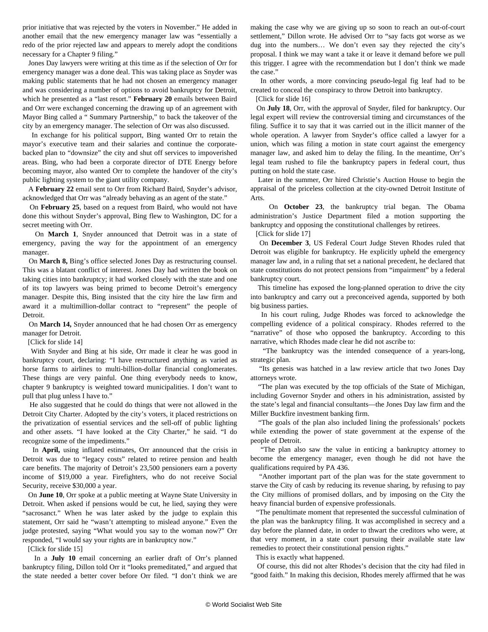prior initiative that was rejected by the voters in November." He added in another email that the new emergency manager law was "essentially a redo of the prior rejected law and appears to merely adopt the conditions necessary for a Chapter 9 filing."

 Jones Day lawyers were writing at this time as if the selection of Orr for emergency manager was a done deal. This was taking place as Snyder was making public statements that he had not chosen an emergency manager and was considering a number of options to avoid bankruptcy for Detroit, which he presented as a "last resort." **February 20** emails between Baird and Orr were exchanged concerning the drawing up of an agreement with Mayor Bing called a " [Summary Partnership](http://www.detroitmi.gov/Portals/0/docs/EM/Depositions/Mayor%20Dave%20Bing%20%2010-14-2013.miniprint.pdf)," to back the takeover of the city by an emergency manager. The selection of Orr was also discussed.

 In exchange for his political support, Bing wanted Orr to retain the mayor's executive team and their salaries and continue the corporatebacked plan to "downsize" the city and shut off services to impoverished areas. Bing, who had been a corporate director of DTE Energy before becoming mayor, also wanted Orr to complete the handover of the city's public lighting system to the giant utility company.

 A **February 22** email sent [to Orr from Richard Baird,](http://docfiles.justia.com/detroit-documents/1235.pdf) Snyder's advisor, acknowledged that Orr was "already behaving as an agent of the state."

 On **February 25**, based on a request from Baird, who would not have done this without Snyder's approval, Bing flew to Washington, DC for a secret meeting with Orr.

 On **March 1**, Snyder announced that [Detroit was in a state of](/en/articles/2013/03/02/snyd-m02.html) [emergency,](/en/articles/2013/03/02/snyd-m02.html) paving the way for the appointment of an emergency manager.

 On **March 8,** Bing's office selected Jones Day as restructuring counsel. This was a blatant conflict of interest. Jones Day had written the book on taking cities into bankruptcy; it had worked closely with the state and one of its top lawyers was being primed to become Detroit's emergency manager. Despite this, Bing insisted that the city hire the law firm and award it a multimillion-dollar contract to "represent" the people of Detroit.

 On **March 14,** Snyder announced that he had chosen Orr as emergency manager for Detroit.

[\[Click for slide 14\]](workspace://SpacesStore/886e196a-8a06-4529-adf9-2289881fc48a)

 With Snyder and Bing at his side, Orr made it clear he was good in bankruptcy court, declaring: "I have restructured anything as varied as horse farms to airlines to multi-billion-dollar financial conglomerates. These things are very painful. One thing everybody needs to know, chapter 9 bankruptcy is weighted toward municipalities. I don't want to pull that plug unless I have to."

 He also suggested that he could do things that were not allowed in the Detroit City Charter. Adopted by the city's voters, it placed restrictions on the privatization of essential services and the sell-off of public lighting and other assets. "I have looked at the City Charter," he said. "I do recognize some of the impediments."

 In **April,** using inflated estimates, Orr announced that the crisis in Detroit was due to "legacy costs" related to retiree pension and health care benefits. The majority of Detroit's 23,500 pensioners earn a poverty income of \$19,000 a year. Firefighters, who do not receive Social Security, receive \$30,000 a year.

 On **June 10**, Orr spoke at a public meeting at Wayne State University in Detroit. When asked if pensions would be cut, he lied, saying they were "sacrosanct." When he was later asked by the judge to explain this statement, Orr said he "wasn't attempting to mislead anyone." Even the judge protested, saying "What would you say to the woman now?" Orr responded, "I would say your rights are in bankruptcy now."

[\[Click for slide 15\]](workspace://SpacesStore/0bbd22ad-6c5c-45e5-a59e-038053e25c0e)

 In a **July 10** email concerning an earlier draft of Orr's planned bankruptcy filing, Dillon told Orr it "looks premeditated," and argued that the state needed a better cover before Orr filed. "I don't think we are making the case why we are giving up so soon to reach an out-of-court settlement," [Dillon wrote.](http://www.freep.com/article/20131105/NEWS01/311050046/Detroit-Chapter-9-bankruptcy-eligibility-trial-Andy-Dillon-Rich-Baird) He advised Orr to "say facts got worse as we dug into the numbers… We don't even say they rejected the city's proposal. I think we may want a take it or leave it demand before we pull this trigger. I agree with the recommendation but I don't think we made the case."

 In other words, a more convincing pseudo-legal fig leaf had to be created to conceal the conspiracy to throw Detroit into bankruptcy.

[\[Click for slide 16\]](workspace://SpacesStore/496e4319-9cc9-4eef-b2bc-590911d23111)

 On **July 18**, Orr, with the approval of Snyder, filed for bankruptcy. Our legal expert will review the controversial timing and circumstances of the filing. Suffice it to say that it was carried out in the illicit manner of the whole operation. A lawyer from Snyder's office called a lawyer for a union, which was filing a motion in state court against the emergency manager law, and asked him to delay the filing. In the meantime, Orr's legal team rushed to file the bankruptcy papers in federal court, thus putting on hold the state case.

 Later in the summer, Orr hired Christie's Auction House to begin the appraisal of the priceless collection at the city-owned Detroit Institute of Arts.

 On **October 23**, the bankruptcy trial began. The Obama administration's Justice Department filed a motion supporting the bankruptcy and opposing the constitutional challenges by retirees.

[\[Click for slide 17\]](workspace://SpacesStore/8369fb40-659d-4aeb-84c1-51484028dd93)

 On **December 3**, US Federal Court Judge Steven Rhodes ruled that Detroit was eligible for bankruptcy. He explicitly upheld the emergency manager law and, in a ruling that set a national precedent, he declared that state constitutions do not protect pensions from "impairment" by a federal bankruptcy court.

 This timeline has exposed the long-planned operation to drive the city into bankruptcy and carry out a preconceived agenda, supported by both big business parties.

 In his court ruling, Judge Rhodes was forced to acknowledge the compelling evidence of a political conspiracy. Rhodes referred to the "narrative" of those who opposed the bankruptcy. According to this narrative, which Rhodes made clear he did not ascribe to:

 "The bankruptcy was the intended consequence of a years-long, strategic plan.

 "Its genesis was hatched in a law review article that two Jones Day attorneys wrote.

 "The plan was executed by the top officials of the State of Michigan, including Governor Snyder and others in his administration, assisted by the state's legal and financial consultants—the Jones Day law firm and the Miller Buckfire investment banking firm.

 "The goals of the plan also included lining the professionals' pockets while extending the power of state government at the expense of the people of Detroit.

 "The plan also saw the value in enticing a bankruptcy attorney to become the emergency manager, even though he did not have the qualifications required by PA 436.

 "Another important part of the plan was for the state government to starve the City of cash by reducing its revenue sharing, by refusing to pay the City millions of promised dollars, and by imposing on the City the heavy financial burden of expensive professionals.

 "The penultimate moment that represented the successful culmination of the plan was the bankruptcy filing. It was accomplished in secrecy and a day before the planned date, in order to thwart the creditors who were, at that very moment, in a state court pursuing their available state law remedies to protect their constitutional pension rights."

This is exactly what happened.

 Of course, this did not alter Rhodes's decision that the city had filed in "good faith." In making this decision, Rhodes merely affirmed that he was